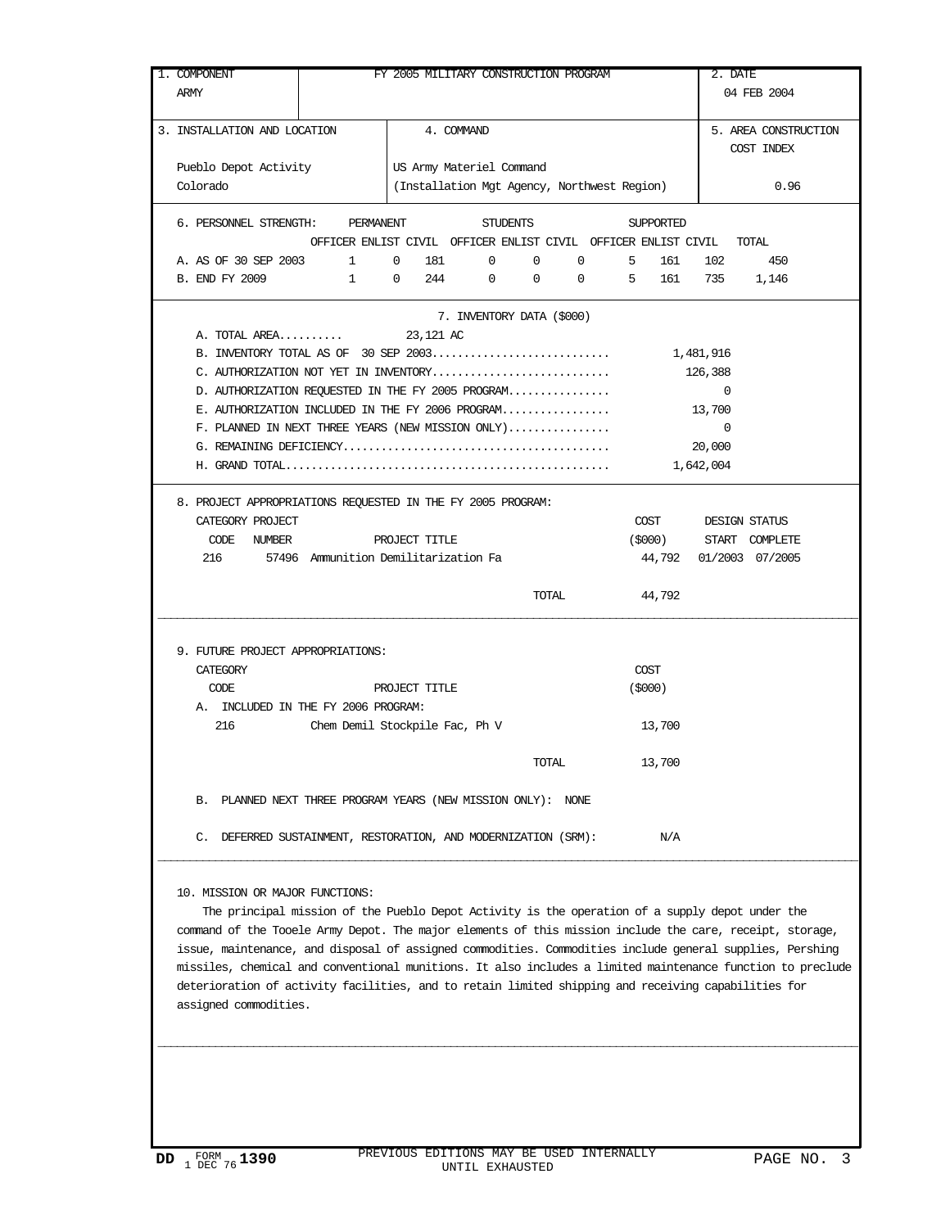| 1. COMPONENT                                                                               |                                |                                                                                                                                                                                                                                                                                                                                                                                                                                                                                                                                                              |                           |       | FY 2005 MILITARY CONSTRUCTION PROGRAM |           |                     | 2. DATE                |      |
|--------------------------------------------------------------------------------------------|--------------------------------|--------------------------------------------------------------------------------------------------------------------------------------------------------------------------------------------------------------------------------------------------------------------------------------------------------------------------------------------------------------------------------------------------------------------------------------------------------------------------------------------------------------------------------------------------------------|---------------------------|-------|---------------------------------------|-----------|---------------------|------------------------|------|
| ARMY                                                                                       |                                |                                                                                                                                                                                                                                                                                                                                                                                                                                                                                                                                                              |                           |       |                                       |           |                     | 04 FEB 2004            |      |
| 3. INSTALLATION AND LOCATION                                                               |                                | 4. COMMAND                                                                                                                                                                                                                                                                                                                                                                                                                                                                                                                                                   |                           |       |                                       |           |                     | 5. AREA CONSTRUCTION   |      |
|                                                                                            |                                |                                                                                                                                                                                                                                                                                                                                                                                                                                                                                                                                                              |                           |       |                                       |           |                     | COST INDEX             |      |
| Pueblo Depot Activity                                                                      |                                | US Army Materiel Command                                                                                                                                                                                                                                                                                                                                                                                                                                                                                                                                     |                           |       |                                       |           |                     |                        |      |
| Colorado                                                                                   |                                | (Installation Mgt Agency, Northwest Region)                                                                                                                                                                                                                                                                                                                                                                                                                                                                                                                  |                           |       |                                       |           |                     |                        | 0.96 |
| 6. PERSONNEL STRENGTH: PERMANENT                                                           |                                |                                                                                                                                                                                                                                                                                                                                                                                                                                                                                                                                                              | STUDENTS                  |       |                                       | SUPPORTED |                     |                        |      |
|                                                                                            |                                | OFFICER ENLIST CIVIL OFFICER ENLIST CIVIL OFFICER ENLIST CIVIL TOTAL                                                                                                                                                                                                                                                                                                                                                                                                                                                                                         |                           |       |                                       |           |                     |                        |      |
| A. AS OF 30 SEP 2003                                                                       |                                | $\begin{matrix} 1 \end{matrix} \qquad \begin{matrix} 0 \end{matrix} \qquad \begin{matrix} 181 \end{matrix} \qquad \begin{matrix} 0 \end{matrix} \qquad \begin{matrix} 0 \end{matrix} \qquad \begin{matrix} 0 \end{matrix} \qquad \begin{matrix} 0 \end{matrix} \qquad \begin{matrix} 0 \end{matrix} \qquad \begin{matrix} 0 \end{matrix} \qquad \begin{matrix} 0 \end{matrix} \qquad \begin{matrix} 0 \end{matrix} \qquad \begin{matrix} 0 \end{matrix} \qquad \begin{matrix} 0 \end{matrix} \qquad \begin{matrix} 0 \end{matrix} \qquad \begin{matrix} 0 \$ |                           |       | $0 \qquad \qquad$                     | 5 161     |                     | 102<br>450             |      |
| B. END FY 2009                                                                             |                                | $1 \t 0 \t 244 \t 0 \t 0 \t 0 \t 5 \t 161$                                                                                                                                                                                                                                                                                                                                                                                                                                                                                                                   |                           |       |                                       |           |                     | 735 1,146              |      |
|                                                                                            |                                |                                                                                                                                                                                                                                                                                                                                                                                                                                                                                                                                                              | 7. INVENTORY DATA (\$000) |       |                                       |           |                     |                        |      |
| A. TOTAL AREA                                                                              |                                | 23,121 AC                                                                                                                                                                                                                                                                                                                                                                                                                                                                                                                                                    |                           |       |                                       |           |                     |                        |      |
|                                                                                            |                                |                                                                                                                                                                                                                                                                                                                                                                                                                                                                                                                                                              |                           |       |                                       |           |                     |                        |      |
| C. AUTHORIZATION NOT YET IN INVENTORY<br>D. AUTHORIZATION REQUESTED IN THE FY 2005 PROGRAM |                                |                                                                                                                                                                                                                                                                                                                                                                                                                                                                                                                                                              |                           |       |                                       |           | 126,388<br>$\sim$ 0 |                        |      |
| E. AUTHORIZATION INCLUDED IN THE FY 2006 PROGRAM                                           |                                |                                                                                                                                                                                                                                                                                                                                                                                                                                                                                                                                                              |                           |       |                                       |           | 13,700              |                        |      |
| F. PLANNED IN NEXT THREE YEARS (NEW MISSION ONLY)                                          |                                |                                                                                                                                                                                                                                                                                                                                                                                                                                                                                                                                                              |                           |       |                                       |           | $\overline{0}$      |                        |      |
|                                                                                            |                                |                                                                                                                                                                                                                                                                                                                                                                                                                                                                                                                                                              |                           |       |                                       |           | 20,000              |                        |      |
|                                                                                            |                                |                                                                                                                                                                                                                                                                                                                                                                                                                                                                                                                                                              |                           |       |                                       |           | 1,642,004           |                        |      |
| 8. PROJECT APPROPRIATIONS REQUESTED IN THE FY 2005 PROGRAM:                                |                                |                                                                                                                                                                                                                                                                                                                                                                                                                                                                                                                                                              |                           |       |                                       |           |                     |                        |      |
| CATEGORY PROJECT                                                                           |                                |                                                                                                                                                                                                                                                                                                                                                                                                                                                                                                                                                              |                           |       |                                       |           |                     | COST DESIGN STATUS     |      |
| CODE NUMBER                                                                                |                                | PROJECT TITLE                                                                                                                                                                                                                                                                                                                                                                                                                                                                                                                                                |                           |       |                                       | (\$000)   |                     | START COMPLETE         |      |
| 216 57496 Ammunition Demilitarization Fa                                                   |                                |                                                                                                                                                                                                                                                                                                                                                                                                                                                                                                                                                              |                           |       |                                       |           |                     | 44,792 01/2003 07/2005 |      |
|                                                                                            |                                |                                                                                                                                                                                                                                                                                                                                                                                                                                                                                                                                                              |                           |       |                                       |           |                     |                        |      |
|                                                                                            |                                |                                                                                                                                                                                                                                                                                                                                                                                                                                                                                                                                                              |                           | TOTAL |                                       | 44,792    |                     |                        |      |
| 9. FUTURE PROJECT APPROPRIATIONS:<br>CATEGORY                                              |                                |                                                                                                                                                                                                                                                                                                                                                                                                                                                                                                                                                              |                           |       |                                       | COST      |                     |                        |      |
| CODE<br>A. INCLUDED IN THE FY 2006 PROGRAM:                                                |                                | PROJECT TITLE                                                                                                                                                                                                                                                                                                                                                                                                                                                                                                                                                |                           |       |                                       | (5000)    |                     |                        |      |
| 216                                                                                        | Chem Demil Stockpile Fac, Ph V |                                                                                                                                                                                                                                                                                                                                                                                                                                                                                                                                                              |                           |       |                                       | 13,700    |                     |                        |      |
|                                                                                            |                                |                                                                                                                                                                                                                                                                                                                                                                                                                                                                                                                                                              |                           |       |                                       |           |                     |                        |      |
|                                                                                            |                                |                                                                                                                                                                                                                                                                                                                                                                                                                                                                                                                                                              |                           | TOTAL |                                       | 13,700    |                     |                        |      |
| B. PLANNED NEXT THREE PROGRAM YEARS (NEW MISSION ONLY): NONE                               |                                |                                                                                                                                                                                                                                                                                                                                                                                                                                                                                                                                                              |                           |       |                                       |           |                     |                        |      |
|                                                                                            |                                |                                                                                                                                                                                                                                                                                                                                                                                                                                                                                                                                                              |                           |       |                                       |           |                     |                        |      |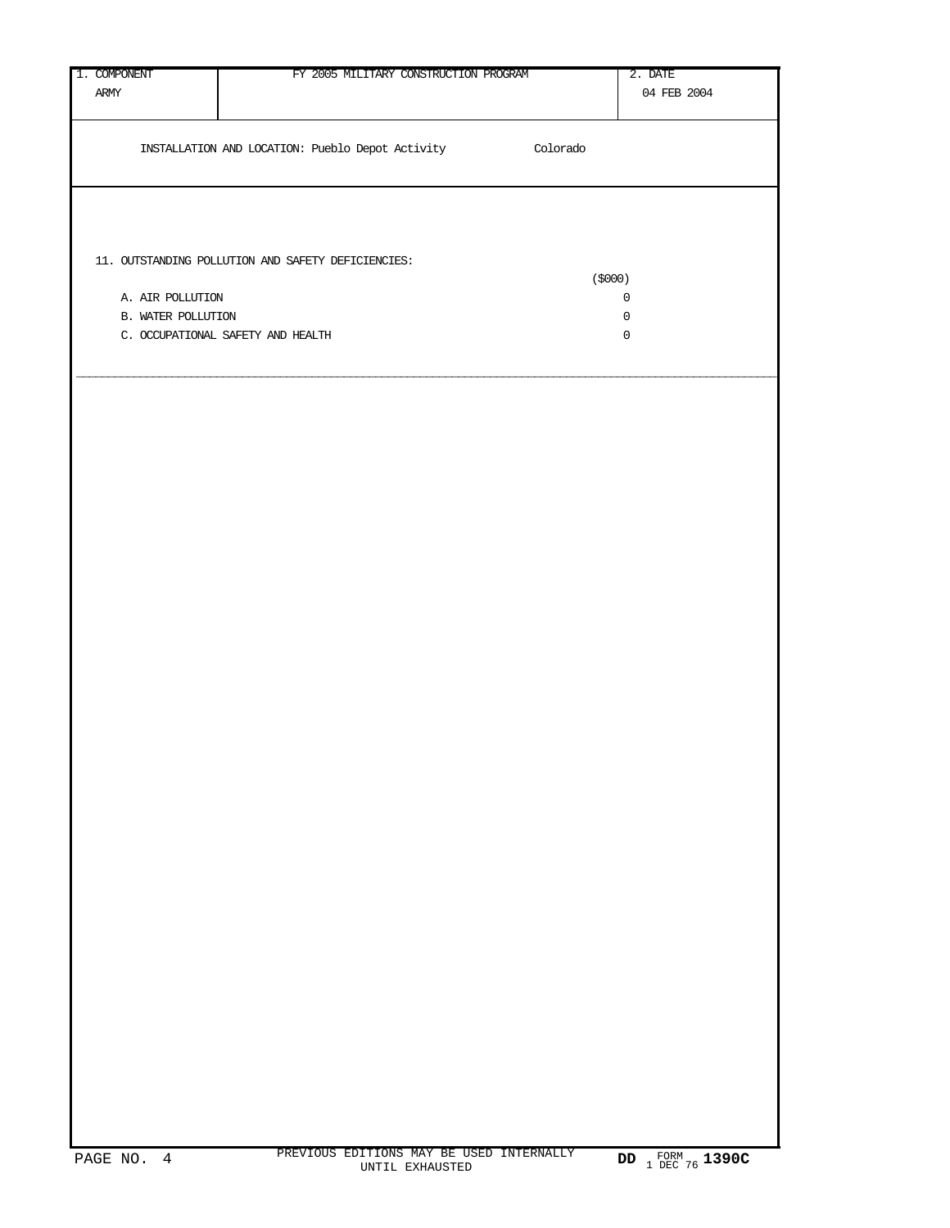| 1. COMPONENT       | FY 2005 MILITARY CONSTRUCTION PROGRAM                     |          | 2. DATE                                    |
|--------------------|-----------------------------------------------------------|----------|--------------------------------------------|
| $\mbox{ARMY}$      |                                                           |          | 04 FEB 2004                                |
|                    |                                                           |          |                                            |
|                    | INSTALLATION AND LOCATION: Pueblo Depot Activity          | Colorado |                                            |
|                    |                                                           |          |                                            |
|                    |                                                           |          |                                            |
|                    |                                                           |          |                                            |
|                    |                                                           |          |                                            |
|                    | $11.$ OUTSTANDING POLLUTION AND SAFETY DEFICIENCIES: $\,$ |          |                                            |
|                    |                                                           | (5000)   |                                            |
| A. AIR POLLUTION   |                                                           |          | $\mathsf{O}\xspace$<br>$\mathsf{O}\xspace$ |
| B. WATER POLLUTION | C. OCCUPATIONAL SAFETY AND HEALTH                         |          | $\mathbb O$                                |
|                    |                                                           |          |                                            |
|                    |                                                           |          |                                            |
|                    |                                                           |          |                                            |
|                    |                                                           |          |                                            |
|                    |                                                           |          |                                            |
|                    |                                                           |          |                                            |
|                    |                                                           |          |                                            |
|                    |                                                           |          |                                            |
|                    |                                                           |          |                                            |
|                    |                                                           |          |                                            |
|                    |                                                           |          |                                            |
|                    |                                                           |          |                                            |
|                    |                                                           |          |                                            |
|                    |                                                           |          |                                            |
|                    |                                                           |          |                                            |
|                    |                                                           |          |                                            |
|                    |                                                           |          |                                            |
|                    |                                                           |          |                                            |
|                    |                                                           |          |                                            |
|                    |                                                           |          |                                            |
|                    |                                                           |          |                                            |
|                    |                                                           |          |                                            |
|                    |                                                           |          |                                            |
|                    |                                                           |          |                                            |
|                    |                                                           |          |                                            |
|                    |                                                           |          |                                            |
|                    |                                                           |          |                                            |
|                    |                                                           |          |                                            |
|                    |                                                           |          |                                            |
|                    |                                                           |          |                                            |
|                    |                                                           |          |                                            |
|                    |                                                           |          |                                            |
|                    |                                                           |          |                                            |
|                    |                                                           |          |                                            |
|                    |                                                           |          |                                            |
|                    |                                                           |          |                                            |
|                    |                                                           |          |                                            |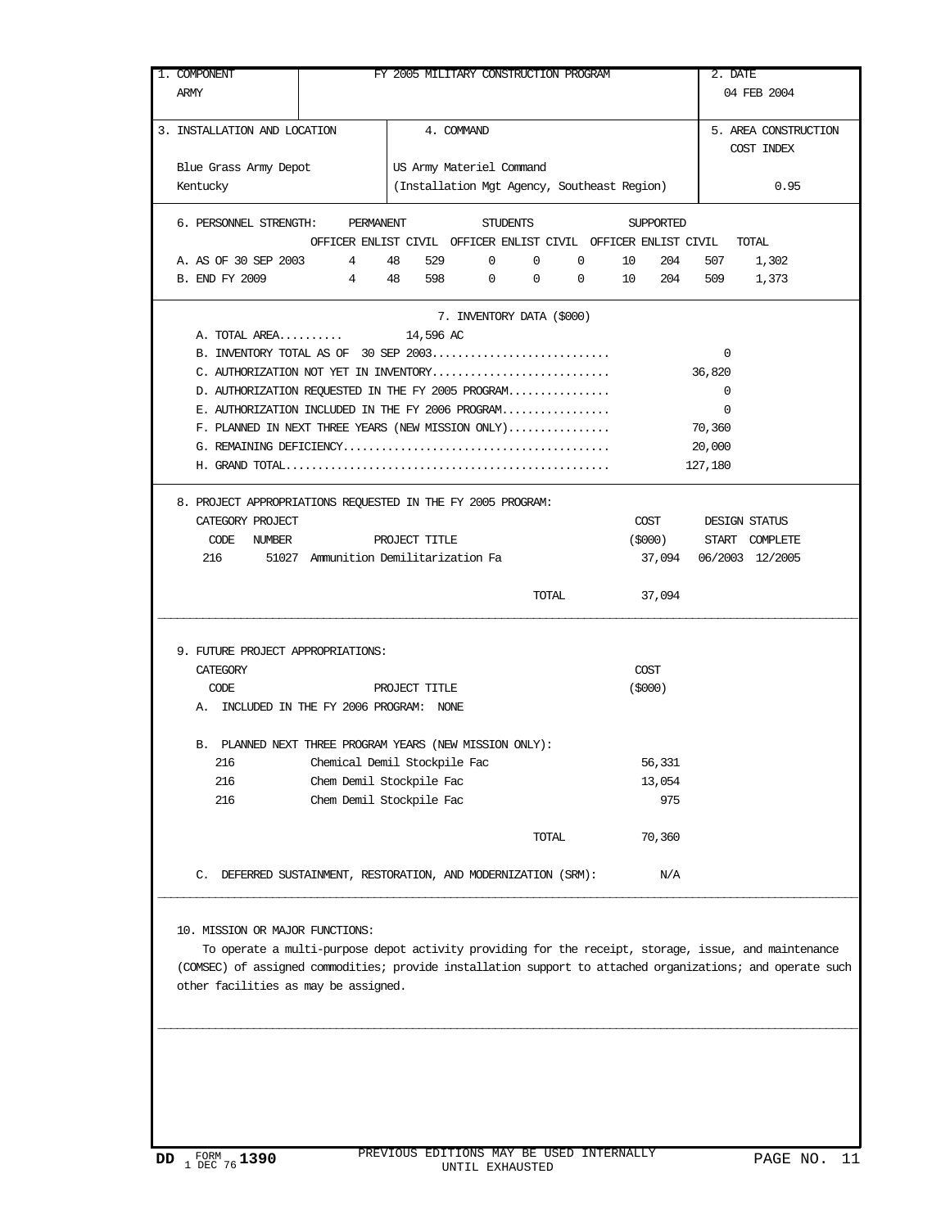| 1. COMPONENT<br>ARMY                                              |                                                                      |                          |         | FY 2005 MILITARY CONSTRUCTION PROGRAM       |                  |                |           | 2. DATE            | 04 FEB 2004            |
|-------------------------------------------------------------------|----------------------------------------------------------------------|--------------------------|---------|---------------------------------------------|------------------|----------------|-----------|--------------------|------------------------|
| 3. INSTALLATION AND LOCATION                                      |                                                                      | 4. COMMAND               |         |                                             |                  |                |           |                    | 5. AREA CONSTRUCTION   |
|                                                                   |                                                                      |                          |         |                                             |                  |                |           |                    | COST INDEX             |
| Blue Grass Army Depot                                             |                                                                      | US Army Materiel Command |         |                                             |                  |                |           |                    |                        |
| Kentucky                                                          |                                                                      |                          |         | (Installation Mgt Agency, Southeast Region) |                  |                |           |                    | 0.95                   |
| 6. PERSONNEL STRENGTH: PERMANENT STUDENTS                         |                                                                      |                          |         |                                             |                  |                | SUPPORTED |                    |                        |
|                                                                   | OFFICER ENLIST CIVIL OFFICER ENLIST CIVIL OFFICER ENLIST CIVIL TOTAL |                          | 529 0 0 |                                             |                  |                |           |                    | 507 1,302              |
| A. AS OF 30 SEP 2003 4 48<br>B. END FY 2009 4 48 598 0 0 0 10 204 |                                                                      |                          |         |                                             | $0 \t 10 \t 204$ |                |           |                    | 509 1,373              |
|                                                                   |                                                                      |                          |         |                                             |                  |                |           |                    |                        |
|                                                                   |                                                                      |                          |         | 7. INVENTORY DATA (\$000)                   |                  |                |           |                    |                        |
| A. TOTAL AREA 14,596 AC                                           |                                                                      |                          |         |                                             |                  |                |           | $\overline{0}$     |                        |
| C. AUTHORIZATION NOT YET IN INVENTORY                             |                                                                      |                          |         |                                             |                  |                |           | 36,820             |                        |
| D. AUTHORIZATION REQUESTED IN THE FY 2005 PROGRAM                 |                                                                      |                          |         |                                             |                  |                |           | $\overline{0}$     |                        |
| E. AUTHORIZATION INCLUDED IN THE FY 2006 PROGRAM                  |                                                                      |                          |         |                                             |                  |                |           | $\mathbf 0$        |                        |
| $F.$ PLANNED IN NEXT THREE YEARS (NEW MISSION ONLY)               |                                                                      |                          |         |                                             |                  |                |           | 70,360             |                        |
|                                                                   |                                                                      |                          |         |                                             |                  |                |           | 20,000             |                        |
|                                                                   |                                                                      |                          |         |                                             |                  |                |           | 127,180            |                        |
| 8. PROJECT APPROPRIATIONS REQUESTED IN THE FY 2005 PROGRAM:       |                                                                      |                          |         |                                             |                  |                |           |                    |                        |
| CATEGORY PROJECT                                                  |                                                                      |                          |         |                                             |                  |                |           | COST DESIGN STATUS |                        |
| CODE NUMBER                                                       | PROJECT TITLE                                                        |                          |         |                                             |                  |                | (\$000)   |                    | START COMPLETE         |
| 216 51027 Ammunition Demilitarization Fa                          |                                                                      |                          |         |                                             |                  |                |           |                    | 37,094 06/2003 12/2005 |
|                                                                   |                                                                      |                          |         |                                             |                  |                |           |                    |                        |
|                                                                   |                                                                      |                          |         | <b>TOTAL</b>                                |                  |                | 37,094    |                    |                        |
| 9. FUTURE PROJECT APPROPRIATIONS:<br>CATEGORY<br>CODE             |                                                                      | PROJECT TITLE            |         |                                             |                  | COST<br>(5000) |           |                    |                        |
| A. INCLUDED IN THE FY 2006 PROGRAM: NONE                          |                                                                      |                          |         |                                             |                  |                |           |                    |                        |
| B. PLANNED NEXT THREE PROGRAM YEARS (NEW MISSION ONLY):           |                                                                      |                          |         |                                             |                  |                |           |                    |                        |
| 216                                                               | Chemical Demil Stockpile Fac                                         |                          |         |                                             |                  |                | 56,331    |                    |                        |
| 216                                                               | Chem Demil Stockpile Fac                                             |                          |         |                                             |                  |                | 13,054    |                    |                        |
| 216                                                               | Chem Demil Stockpile Fac                                             |                          |         |                                             |                  |                | 975       |                    |                        |
|                                                                   |                                                                      |                          |         | TOTAL                                       |                  |                | 70,360    |                    |                        |
|                                                                   |                                                                      |                          |         |                                             |                  |                |           |                    |                        |